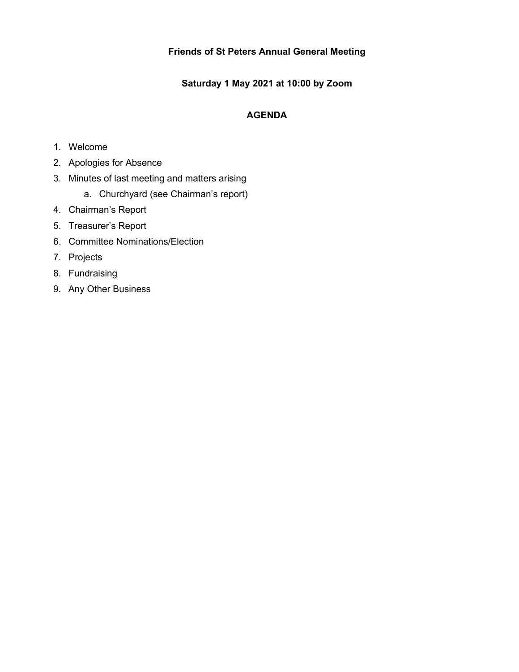# **Friends of St Peters Annual General Meeting**

**Saturday 1 May 2021 at 10:00 by Zoom**

# **AGENDA**

- 1. Welcome
- 2. Apologies for Absence
- 3. Minutes of last meeting and matters arising
	- a. Churchyard (see Chairman's report)
- 4. Chairman's Report
- 5. Treasurer's Report
- 6. Committee Nominations/Election
- 7. Projects
- 8. Fundraising
- 9. Any Other Business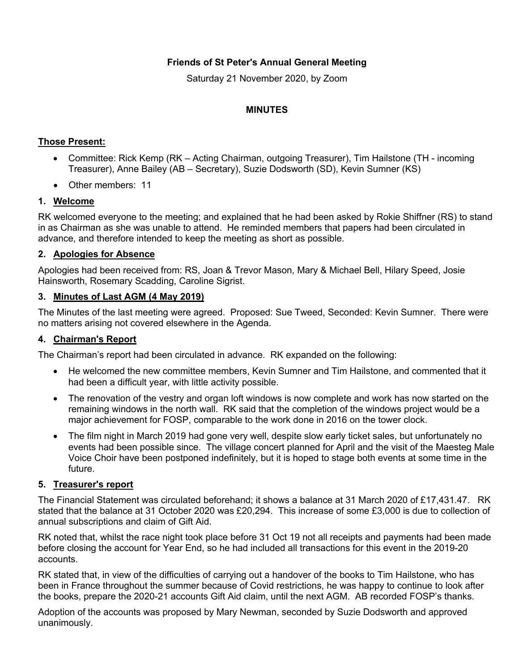# **Friends of St Peter's Annual General Meeting**

Saturday 21 November 2020, by Zoom

#### **MINUTES**

# **Those Present:**

- Committee: Rick Kemp (RK Acting Chairman, outgoing Treasurer), Tim Hailstone (TH incoming Treasurer), Anne Bailey (AB – Secretary), Suzie Dodsworth (SD), Kevin Sumner (KS)
- Other members: 11

# **1. Welcome**

RK welcomed everyone to the meeting; and explained that he had been asked by Rokie Shiffner (RS) to stand in as Chairman as she was unable to attend. He reminded members that papers had been circulated in advance, and therefore intended to keep the meeting as short as possible.

#### **2. Apologies for Absence**

Apologies had been received from: RS, Joan & Trevor Mason, Mary & Michael Bell, Hilary Speed, Josie Hainsworth, Rosemary Scadding, Caroline Sigrist.

#### **3. Minutes of Last AGM (4 May 2019)**

The Minutes of the last meeting were agreed. Proposed: Sue Tweed, Seconded: Kevin Sumner. There were no matters arising not covered elsewhere in the Agenda.

# **4. Chairman's Report**

The Chairman's report had been circulated in advance. RK expanded on the following:

- He welcomed the new committee members, Kevin Sumner and Tim Hailstone, and commented that it had been a difficult year, with little activity possible.
- The renovation of the vestry and organ loft windows is now complete and work has now started on the remaining windows in the north wall. RK said that the completion of the windows project would be a major achievement for FOSP, comparable to the work done in 2016 on the tower clock.
- The film night in March 2019 had gone very well, despite slow early ticket sales, but unfortunately no events had been possible since. The village concert planned for April and the visit of the Maesteg Male Voice Choir have been postponed indefinitely, but it is hoped to stage both events at some time in the future.

#### **5. Treasurer's report**

The Financial Statement was circulated beforehand; it shows a balance at 31 March 2020 of £17,431.47. RK stated that the balance at 31 October 2020 was £20,294. This increase of some £3,000 is due to collection of annual subscriptions and claim of Gift Aid.

RK noted that, whilst the race night took place before 31 Oct 19 not all receipts and payments had been made before closing the account for Year End, so he had included all transactions for this event in the 2019-20 accounts.

RK stated that, in view of the difficulties of carrying out a handover of the books to Tim Hailstone, who has been in France throughout the summer because of Covid restrictions, he was happy to continue to look after the books, prepare the 2020-21 accounts Gift Aid claim, until the next AGM. AB recorded FOSP's thanks.

Adoption of the accounts was proposed by Mary Newman, seconded by Suzie Dodsworth and approved unanimously.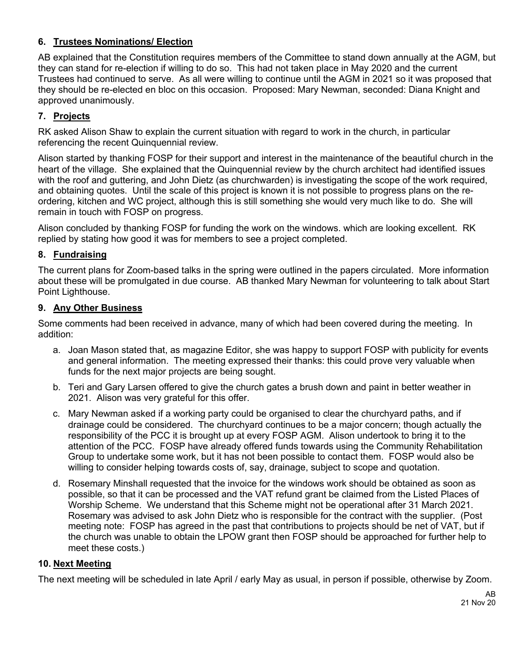# **6. Trustees Nominations/ Election**

AB explained that the Constitution requires members of the Committee to stand down annually at the AGM, but they can stand for re-election if willing to do so. This had not taken place in May 2020 and the current Trustees had continued to serve. As all were willing to continue until the AGM in 2021 so it was proposed that they should be re-elected en bloc on this occasion. Proposed: Mary Newman, seconded: Diana Knight and approved unanimously.

# **7. Projects**

RK asked Alison Shaw to explain the current situation with regard to work in the church, in particular referencing the recent Quinquennial review.

Alison started by thanking FOSP for their support and interest in the maintenance of the beautiful church in the heart of the village. She explained that the Quinquennial review by the church architect had identified issues with the roof and guttering, and John Dietz (as churchwarden) is investigating the scope of the work required, and obtaining quotes. Until the scale of this project is known it is not possible to progress plans on the reordering, kitchen and WC project, although this is still something she would very much like to do. She will remain in touch with FOSP on progress.

Alison concluded by thanking FOSP for funding the work on the windows. which are looking excellent. RK replied by stating how good it was for members to see a project completed.

#### **8. Fundraising**

The current plans for Zoom-based talks in the spring were outlined in the papers circulated. More information about these will be promulgated in due course. AB thanked Mary Newman for volunteering to talk about Start Point Lighthouse.

#### **9. Any Other Business**

Some comments had been received in advance, many of which had been covered during the meeting. In addition:

- a. Joan Mason stated that, as magazine Editor, she was happy to support FOSP with publicity for events and general information. The meeting expressed their thanks: this could prove very valuable when funds for the next major projects are being sought.
- b. Teri and Gary Larsen offered to give the church gates a brush down and paint in better weather in 2021. Alison was very grateful for this offer.
- c. Mary Newman asked if a working party could be organised to clear the churchyard paths, and if drainage could be considered. The churchyard continues to be a major concern; though actually the responsibility of the PCC it is brought up at every FOSP AGM. Alison undertook to bring it to the attention of the PCC. FOSP have already offered funds towards using the Community Rehabilitation Group to undertake some work, but it has not been possible to contact them. FOSP would also be willing to consider helping towards costs of, say, drainage, subject to scope and quotation.
- d. Rosemary Minshall requested that the invoice for the windows work should be obtained as soon as possible, so that it can be processed and the VAT refund grant be claimed from the Listed Places of Worship Scheme. We understand that this Scheme might not be operational after 31 March 2021. Rosemary was advised to ask John Dietz who is responsible for the contract with the supplier. (Post meeting note: FOSP has agreed in the past that contributions to projects should be net of VAT, but if the church was unable to obtain the LPOW grant then FOSP should be approached for further help to meet these costs.)

#### **10. Next Meeting**

The next meeting will be scheduled in late April / early May as usual, in person if possible, otherwise by Zoom.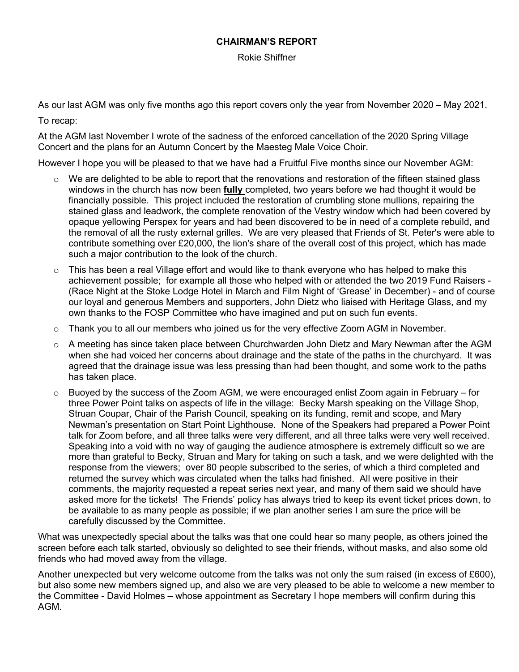#### **CHAIRMAN'S REPORT**

Rokie Shiffner

As our last AGM was only five months ago this report covers only the year from November 2020 – May 2021.

To recap:

At the AGM last November I wrote of the sadness of the enforced cancellation of the 2020 Spring Village Concert and the plans for an Autumn Concert by the Maesteg Male Voice Choir.

However I hope you will be pleased to that we have had a Fruitful Five months since our November AGM:

- o We are delighted to be able to report that the renovations and restoration of the fifteen stained glass windows in the church has now been **fully** completed, two years before we had thought it would be financially possible. This project included the restoration of crumbling stone mullions, repairing the stained glass and leadwork, the complete renovation of the Vestry window which had been covered by opaque yellowing Perspex for years and had been discovered to be in need of a complete rebuild, and the removal of all the rusty external grilles. We are very pleased that Friends of St. Peter's were able to contribute something over £20,000, the lion's share of the overall cost of this project, which has made such a major contribution to the look of the church.
- $\circ$  This has been a real Village effort and would like to thank everyone who has helped to make this achievement possible; for example all those who helped with or attended the two 2019 Fund Raisers - (Race Night at the Stoke Lodge Hotel in March and Film Night of 'Grease' in December) - and of course our loyal and generous Members and supporters, John Dietz who liaised with Heritage Glass, and my own thanks to the FOSP Committee who have imagined and put on such fun events.
- $\circ$  Thank you to all our members who joined us for the very effective Zoom AGM in November.
- $\circ$  A meeting has since taken place between Churchwarden John Dietz and Mary Newman after the AGM when she had voiced her concerns about drainage and the state of the paths in the churchyard. It was agreed that the drainage issue was less pressing than had been thought, and some work to the paths has taken place.
- $\circ$  Buoyed by the success of the Zoom AGM, we were encouraged enlist Zoom again in February for three Power Point talks on aspects of life in the village: Becky Marsh speaking on the Village Shop, Struan Coupar, Chair of the Parish Council, speaking on its funding, remit and scope, and Mary Newman's presentation on Start Point Lighthouse. None of the Speakers had prepared a Power Point talk for Zoom before, and all three talks were very different, and all three talks were very well received. Speaking into a void with no way of gauging the audience atmosphere is extremely difficult so we are more than grateful to Becky, Struan and Mary for taking on such a task, and we were delighted with the response from the viewers; over 80 people subscribed to the series, of which a third completed and returned the survey which was circulated when the talks had finished. All were positive in their comments, the majority requested a repeat series next year, and many of them said we should have asked more for the tickets! The Friends' policy has always tried to keep its event ticket prices down, to be available to as many people as possible; if we plan another series I am sure the price will be carefully discussed by the Committee.

What was unexpectedly special about the talks was that one could hear so many people, as others joined the screen before each talk started, obviously so delighted to see their friends, without masks, and also some old friends who had moved away from the village.

Another unexpected but very welcome outcome from the talks was not only the sum raised (in excess of £600), but also some new members signed up, and also we are very pleased to be able to welcome a new member to the Committee - David Holmes – whose appointment as Secretary I hope members will confirm during this AGM.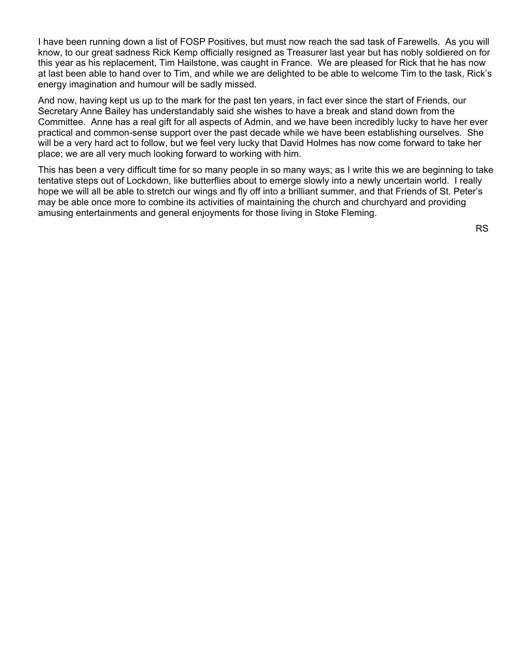I have been running down a list of FOSP Positives, but must now reach the sad task of Farewells. As you will know, to our great sadness Rick Kemp officially resigned as Treasurer last year but has nobly soldiered on for this year as his replacement, Tim Hailstone, was caught in France. We are pleased for Rick that he has now at last been able to hand over to Tim, and while we are delighted to be able to welcome Tim to the task, Rick's energy imagination and humour will be sadly missed.

And now, having kept us up to the mark for the past ten years, in fact ever since the start of Friends, our Secretary Anne Bailey has understandably said she wishes to have a break and stand down from the Committee. Anne has a real gift for all aspects of Admin, and we have been incredibly lucky to have her ever practical and common-sense support over the past decade while we have been establishing ourselves. She will be a very hard act to follow, but we feel very lucky that David Holmes has now come forward to take her place; we are all very much looking forward to working with him.

This has been a very difficult time for so many people in so many ways; as I write this we are beginning to take tentative steps out of Lockdown, like butterflies about to emerge slowly into a newly uncertain world. I really hope we will all be able to stretch our wings and fly off into a brilliant summer, and that Friends of St. Peter's may be able once more to combine its activities of maintaining the church and churchyard and providing amusing entertainments and general enjoyments for those living in Stoke Fleming.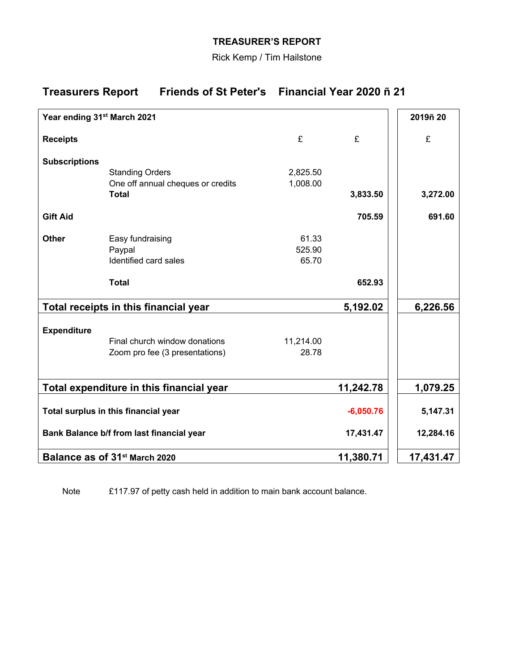# **TREASURER'S REPORT**

Rick Kemp / Tim Hailstone

# **Treasurers Report Friends of St Peter's Financial Year 2020 ñ 21**

| Year ending 31 <sup>st</sup> March 2021   |                                                   |             |           | 2019ñ 20  |
|-------------------------------------------|---------------------------------------------------|-------------|-----------|-----------|
| <b>Receipts</b>                           |                                                   | £           | £         | £         |
| <b>Subscriptions</b>                      |                                                   |             |           |           |
|                                           | <b>Standing Orders</b>                            | 2,825.50    |           |           |
|                                           | One off annual cheques or credits<br><b>Total</b> | 1,008.00    | 3,833.50  | 3,272.00  |
|                                           |                                                   |             |           |           |
| <b>Gift Aid</b>                           |                                                   |             | 705.59    | 691.60    |
| <b>Other</b>                              | Easy fundraising                                  | 61.33       |           |           |
|                                           | Paypal                                            | 525.90      |           |           |
|                                           | Identified card sales                             | 65.70       |           |           |
|                                           | <b>Total</b>                                      |             | 652.93    |           |
| Total receipts in this financial year     |                                                   |             | 5,192.02  | 6,226.56  |
| <b>Expenditure</b>                        |                                                   |             |           |           |
|                                           | Final church window donations                     | 11,214.00   |           |           |
|                                           | Zoom pro fee (3 presentations)                    | 28.78       |           |           |
|                                           |                                                   |             |           |           |
| Total expenditure in this financial year  |                                                   |             | 11,242.78 | 1,079.25  |
| Total surplus in this financial year      |                                                   | $-6,050.76$ | 5,147.31  |           |
| Bank Balance b/f from last financial year |                                                   |             | 17,431.47 | 12,284.16 |
| Balance as of 31 <sup>st</sup> March 2020 |                                                   |             | 11,380.71 | 17,431.47 |

Note £117.97 of petty cash held in addition to main bank account balance.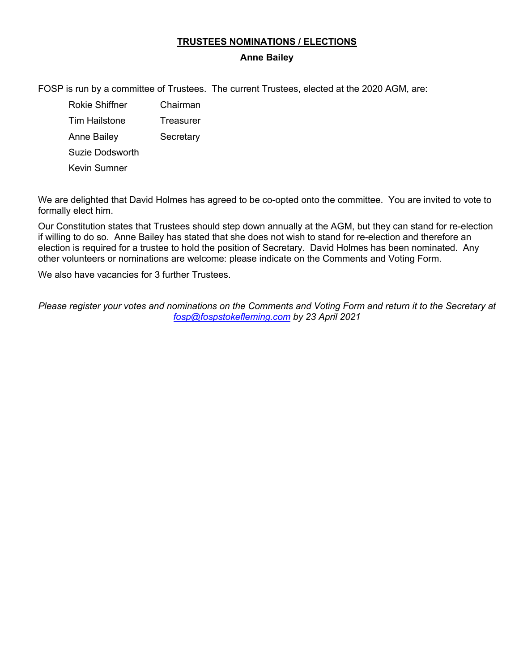#### **TRUSTEES NOMINATIONS / ELECTIONS**

#### **Anne Bailey**

FOSP is run by a committee of Trustees. The current Trustees, elected at the 2020 AGM, are:

- Rokie Shiffner Chairman Tim Hailstone Treasurer Anne Bailey Secretary Suzie Dodsworth
- Kevin Sumner

We are delighted that David Holmes has agreed to be co-opted onto the committee. You are invited to vote to formally elect him.

Our Constitution states that Trustees should step down annually at the AGM, but they can stand for re-election if willing to do so. Anne Bailey has stated that she does not wish to stand for re-election and therefore an election is required for a trustee to hold the position of Secretary. David Holmes has been nominated. Any other volunteers or nominations are welcome: please indicate on the Comments and Voting Form.

We also have vacancies for 3 further Trustees.

*Please register your votes and nominations on the Comments and Voting Form and return it to the Secretary at fosp@fospstokefleming.com by 23 April 2021*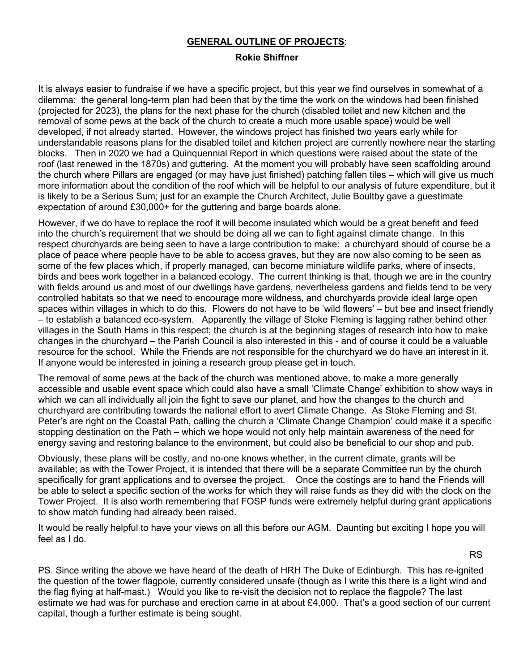#### **GENERAL OUTLINE OF PROJECTS**:

#### **Rokie Shiffner**

It is always easier to fundraise if we have a specific project, but this year we find ourselves in somewhat of a dilemma: the general long-term plan had been that by the time the work on the windows had been finished (projected for 2023), the plans for the next phase for the church (disabled toilet and new kitchen and the removal of some pews at the back of the church to create a much more usable space) would be well developed, if not already started. However, the windows project has finished two years early while for understandable reasons plans for the disabled toilet and kitchen project are currently nowhere near the starting blocks. Then in 2020 we had a Quinquennial Report in which questions were raised about the state of the roof (last renewed in the 1870s) and guttering. At the moment you will probably have seen scaffolding around the church where Pillars are engaged (or may have just finished) patching fallen tiles – which will give us much more information about the condition of the roof which will be helpful to our analysis of future expenditure, but it is likely to be a Serious Sum; just for an example the Church Architect, Julie Boultby gave a guestimate expectation of around £30,000+ for the guttering and barge boards alone.

However, if we do have to replace the roof it will become insulated which would be a great benefit and feed into the church's requirement that we should be doing all we can to fight against climate change. In this respect churchyards are being seen to have a large contribution to make: a churchyard should of course be a place of peace where people have to be able to access graves, but they are now also coming to be seen as some of the few places which, if properly managed, can become miniature wildlife parks, where of insects, birds and bees work together in a balanced ecology. The current thinking is that, though we are in the country with fields around us and most of our dwellings have gardens, nevertheless gardens and fields tend to be very controlled habitats so that we need to encourage more wildness, and churchyards provide ideal large open spaces within villages in which to do this. Flowers do not have to be 'wild flowers' – but bee and insect friendly – to establish a balanced eco-system. Apparently the village of Stoke Fleming is lagging rather behind other villages in the South Hams in this respect; the church is at the beginning stages of research into how to make changes in the churchyard – the Parish Council is also interested in this - and of course it could be a valuable resource for the school. While the Friends are not responsible for the churchyard we do have an interest in it. If anyone would be interested in joining a research group please get in touch.

The removal of some pews at the back of the church was mentioned above, to make a more generally accessible and usable event space which could also have a small 'Climate Change' exhibition to show ways in which we can all individually all join the fight to save our planet, and how the changes to the church and churchyard are contributing towards the national effort to avert Climate Change. As Stoke Fleming and St. Peter's are right on the Coastal Path, calling the church a 'Climate Change Champion' could make it a specific stopping destination on the Path – which we hope would not only help maintain awareness of the need for energy saving and restoring balance to the environment, but could also be beneficial to our shop and pub.

Obviously, these plans will be costly, and no-one knows whether, in the current climate, grants will be available; as with the Tower Project, it is intended that there will be a separate Committee run by the church specifically for grant applications and to oversee the project. Once the costings are to hand the Friends will be able to select a specific section of the works for which they will raise funds as they did with the clock on the Tower Project. It is also worth remembering that FOSP funds were extremely helpful during grant applications to show match funding had already been raised.

It would be really helpful to have your views on all this before our AGM. Daunting but exciting I hope you will feel as I do.

RS

PS. Since writing the above we have heard of the death of HRH The Duke of Edinburgh. This has re-ignited the question of the tower flagpole, currently considered unsafe (though as I write this there is a light wind and the flag flying at half-mast.) Would you like to re-visit the decision not to replace the flagpole? The last estimate we had was for purchase and erection came in at about £4,000. That's a good section of our current capital, though a further estimate is being sought.